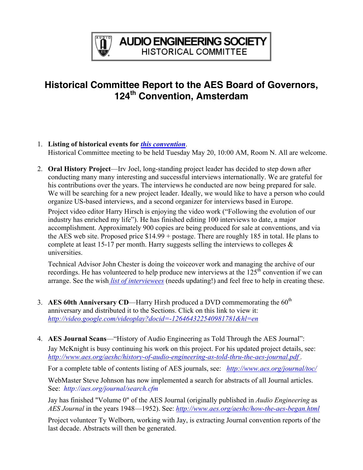

## **Historical Committee Report to the AES Board of Governors, 124th Convention, Amsterdam**

- 1. **Listing of historical events for** *[this convention](http://www.aes.org/events/124/historical/)*. Historical Committee meeting to be held Tuesday May 20, 10:00 AM, Room N. All are welcome.
- 2. **Oral History Project**—Irv Joel, long-standing project leader has decided to step down after conducting many many interesting and successful interviews internationally. We are grateful for his contributions over the years. The interviews he conducted are now being prepared for sale. We will be searching for a new project leader. Ideally, we would like to have a person who could organize US-based interviews, and a second organizer for interviews based in Europe.

Project video editor Harry Hirsch is enjoying the video work ("Following the evolution of our industry has enriched my life"). He has finished editing 100 interviews to date, a major accomplishment. Approximately 900 copies are being produced for sale at conventions, and via the AES web site. Proposed price \$14.99 + postage. There are roughly 185 in total. He plans to complete at least 15-17 per month. Harry suggests selling the interviews to colleges  $\&$ universities.

Technical Advisor John Chester is doing the voiceover work and managing the archive of our recordings. He has volunteered to help produce new interviews at the  $125<sup>th</sup>$  convention if we can arrange. See the wish *[list of interviewees](http://www.aes.org/aeshc/docs/oralhist/interview.master.pub.040927a.pdf)* (needs updating!) and feel free to help in creating these.

- 3. **AES 60th Anniversary CD**—Harry Hirsh produced a DVD commemorating the 60<sup>th</sup> anniversary and distributed it to the Sections. Click on this link to view it: *<http://video.google.com/videoplay?docid=-126464322540981781&hl=en>*
- 4. **AES Journal Scans**—"History of Audio Engineering as Told Through the AES Journal": Jay McKnight is busy continuing his work on this project. For his updated project details, see: *[http://www.aes.org/aeshc/history-of-audio-engineering-as-told-thru-the-aes-journal.pdf .](http://www.aes.org/aeshc/history-of-audio-engineering-as-told-thru-the-aes-journal.pdf)*

For a complete table of contents listing of AES journals, see: *<http://www.aes.org/journal/toc/>*

WebMaster Steve Johnson has now implemented a search for abstracts of all Journal articles. See: *<http://aes.org/journal/search.cfm>*

Jay has finished "Volume 0" of the AES Journal (originally published in *Audio Engineering* as *AES Journal* in the years 1948—1952). See: *<http://www.aes.org/aeshc/how-the-aes-began.html>*

Project volunteer Ty Welborn, working with Jay, is extracting Journal convention reports of the last decade. Abstracts will then be generated.